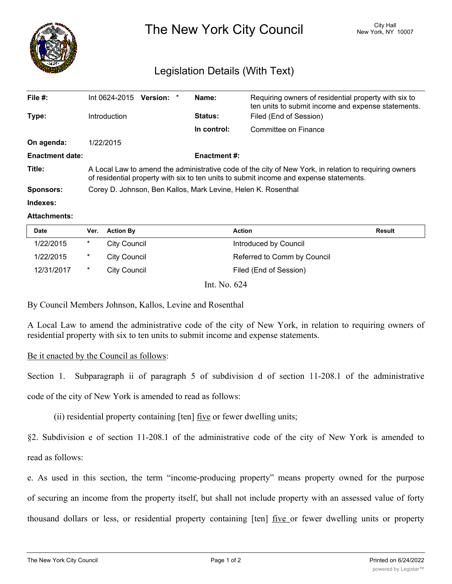

# The New York City Council New York, NY 10007

# Legislation Details (With Text)

| File $#$ :             | Version: *<br>Int 0624-2015                                                                                                                                                                     | Name:       | Requiring owners of residential property with six to<br>ten units to submit income and expense statements. |  |
|------------------------|-------------------------------------------------------------------------------------------------------------------------------------------------------------------------------------------------|-------------|------------------------------------------------------------------------------------------------------------|--|
| Type:                  | Introduction                                                                                                                                                                                    | Status:     | Filed (End of Session)                                                                                     |  |
|                        |                                                                                                                                                                                                 | In control: | Committee on Finance                                                                                       |  |
| On agenda:             | 1/22/2015                                                                                                                                                                                       |             |                                                                                                            |  |
| <b>Enactment date:</b> | <b>Enactment #:</b>                                                                                                                                                                             |             |                                                                                                            |  |
| Title:                 | A Local Law to amend the administrative code of the city of New York, in relation to requiring owners<br>of residential property with six to ten units to submit income and expense statements. |             |                                                                                                            |  |
| <b>Sponsors:</b>       | Corey D. Johnson, Ben Kallos, Mark Levine, Helen K. Rosenthal                                                                                                                                   |             |                                                                                                            |  |
| Indexes:               |                                                                                                                                                                                                 |             |                                                                                                            |  |
|                        |                                                                                                                                                                                                 |             |                                                                                                            |  |

#### **Attachments:**

| <b>Date</b> | Ver.   | <b>Action By</b>    | <b>Action</b>               | <b>Result</b> |
|-------------|--------|---------------------|-----------------------------|---------------|
| 1/22/2015   | $\ast$ | <b>City Council</b> | Introduced by Council       |               |
| 1/22/2015   | $\ast$ | <b>City Council</b> | Referred to Comm by Council |               |
| 12/31/2017  | $\ast$ | City Council        | Filed (End of Session)      |               |
|             |        | $T \cup M$ $(A)$    |                             |               |

Int. No. 624

By Council Members Johnson, Kallos, Levine and Rosenthal

A Local Law to amend the administrative code of the city of New York, in relation to requiring owners of residential property with six to ten units to submit income and expense statements.

## Be it enacted by the Council as follows:

Section 1. Subparagraph ii of paragraph 5 of subdivision d of section 11-208.1 of the administrative code of the city of New York is amended to read as follows:

(ii) residential property containing [ten] <u>five</u> or fewer dwelling units;

§2. Subdivision e of section 11-208.1 of the administrative code of the city of New York is amended to read as follows:

e. As used in this section, the term "income-producing property" means property owned for the purpose of securing an income from the property itself, but shall not include property with an assessed value of forty thousand dollars or less, or residential property containing [ten] five or fewer dwelling units or property